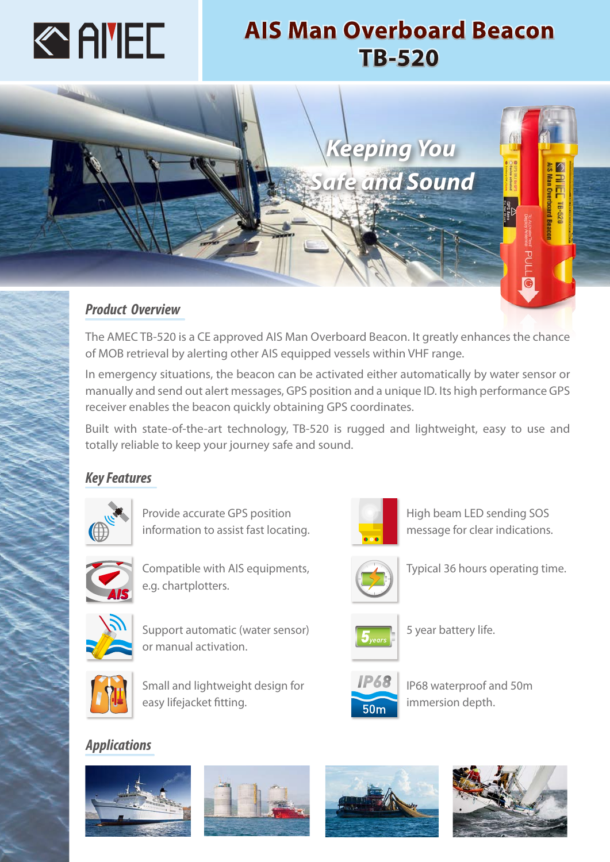

# **AIS Man Overboard Beacon TB-520**



The AMEC TB-520 is a CE approved AIS Man Overboard Beacon. It greatly enhances the chance of MOB retrieval by alerting other AIS equipped vessels within VHF range.

In emergency situations, the beacon can be activated either automatically by water sensor or manually and send out alert messages, GPS position and a unique ID. Its high performance GPS receiver enables the beacon quickly obtaining GPS coordinates.

Built with state-of-the-art technology, TB-520 is rugged and lightweight, easy to use and totally reliable to keep your journey safe and sound.

## *Key Features*



Provide accurate GPS position information to assist fast locating.



Compatible with AIS equipments, e.g. chartplotters.



Support automatic (water sensor) or manual activation.



Small and lightweight design for easy lifejacket fitting.

## *Applications*













Typical 36 hours operating time.

High beam LED sending SOS message for clear indications.



5 year battery life.



IP68 waterproof and 50m immersion depth.